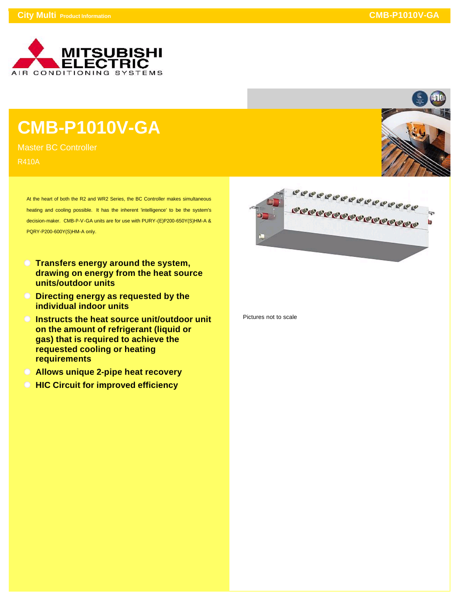

## **CMB-P1010V-GA**

Master BC Controller R410A

> At the heart of both the R2 and WR2 Series, the BC Controller makes simultaneous heating and cooling possible. It has the inherent 'intelligence' to be the system's decision-maker. CMB-P-V-GA units are for use with PURY-(E)P200-650Y(S)HM-A & PQRY-P200-600Y(S)HM-A only.

- **Transfers energy around the system, drawing on energy from the heat source units/outdoor units**
- **Directing energy as requested by the individual indoor units**
- **Instructs the heat source unit/outdoor unit on the amount of refrigerant (liquid or gas) that is required to achieve the requested cooling or heating requirements**
- **Allows unique 2-pipe heat recovery**
- **HIC Circuit for improved efficiency**



Pictures not to scale